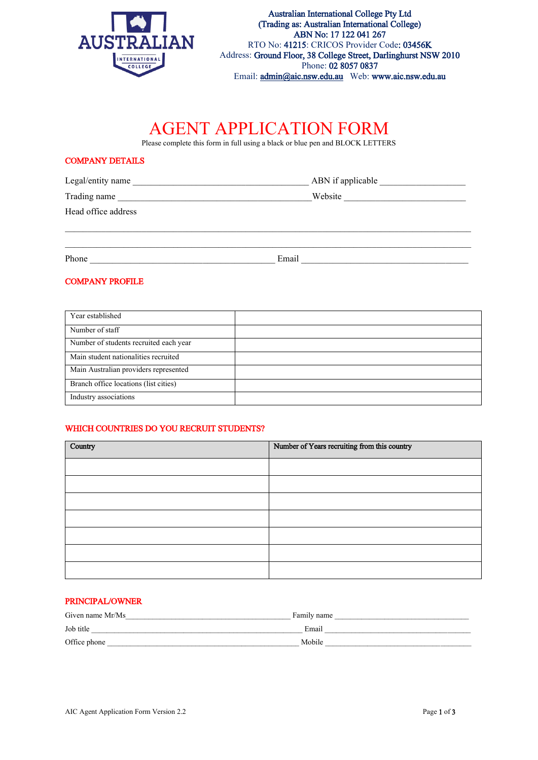

# AGENT APPLICATION FORM

Please complete this form in full using a black or blue pen and BLOCK LETTERS

# COMPANY DETAILS

| Legal/entity name   | ABN if applicable |
|---------------------|-------------------|
| Trading name        | Website           |
| Head office address |                   |
|                     |                   |
| Phone               | Email             |

# COMPANY PROFILE

| Year established                       |  |
|----------------------------------------|--|
| Number of staff                        |  |
| Number of students recruited each year |  |
| Main student nationalities recruited   |  |
| Main Australian providers represented  |  |
| Branch office locations (list cities)  |  |
| Industry associations                  |  |

# WHICH COUNTRIES DO YOU RECRUIT STUDENTS?

| Country | Number of Years recruiting from this country |  |  |
|---------|----------------------------------------------|--|--|
|         |                                              |  |  |
|         |                                              |  |  |
|         |                                              |  |  |
|         |                                              |  |  |
|         |                                              |  |  |
|         |                                              |  |  |
|         |                                              |  |  |

# PRINCIPAL/OWNER

| Given name Mr/Ms | Family name |
|------------------|-------------|
| Job title        | Email       |
| Office phone     | Mobile      |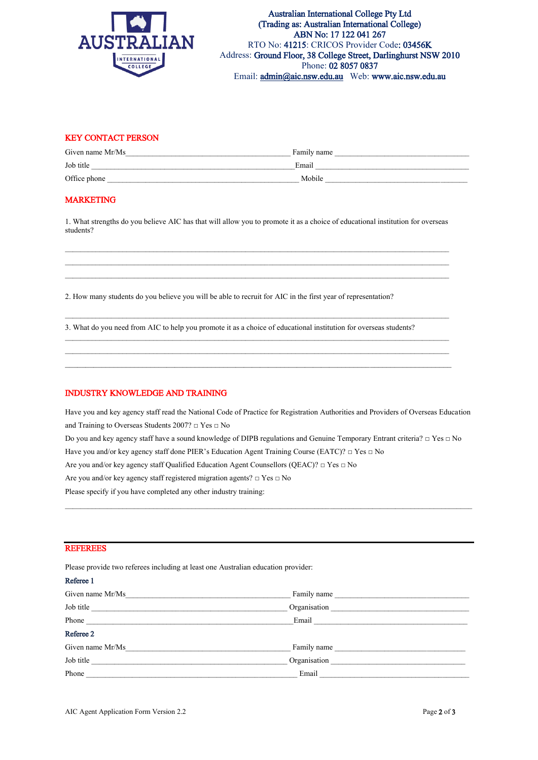

## KEY CONTACT PERSON

| Given name Mr/Ms | Family name |
|------------------|-------------|
| Job title        | Email       |
| Office phone     | Mobile      |

#### MARKETING

1. What strengths do you believe AIC has that will allow you to promote it as a choice of educational institution for overseas students?

 $\mathcal{L}_\mathcal{L} = \mathcal{L}_\mathcal{L} = \mathcal{L}_\mathcal{L} = \mathcal{L}_\mathcal{L} = \mathcal{L}_\mathcal{L} = \mathcal{L}_\mathcal{L} = \mathcal{L}_\mathcal{L} = \mathcal{L}_\mathcal{L} = \mathcal{L}_\mathcal{L} = \mathcal{L}_\mathcal{L} = \mathcal{L}_\mathcal{L} = \mathcal{L}_\mathcal{L} = \mathcal{L}_\mathcal{L} = \mathcal{L}_\mathcal{L} = \mathcal{L}_\mathcal{L} = \mathcal{L}_\mathcal{L} = \mathcal{L}_\mathcal{L}$ 

 $\mathcal{L}_\mathcal{L} = \mathcal{L}_\mathcal{L} = \mathcal{L}_\mathcal{L} = \mathcal{L}_\mathcal{L} = \mathcal{L}_\mathcal{L} = \mathcal{L}_\mathcal{L} = \mathcal{L}_\mathcal{L} = \mathcal{L}_\mathcal{L} = \mathcal{L}_\mathcal{L} = \mathcal{L}_\mathcal{L} = \mathcal{L}_\mathcal{L} = \mathcal{L}_\mathcal{L} = \mathcal{L}_\mathcal{L} = \mathcal{L}_\mathcal{L} = \mathcal{L}_\mathcal{L} = \mathcal{L}_\mathcal{L} = \mathcal{L}_\mathcal{L}$ 

2. How many students do you believe you will be able to recruit for AIC in the first year of representation?

3. What do you need from AIC to help you promote it as a choice of educational institution for overseas students?

## INDUSTRY KNOWLEDGE AND TRAINING

Have you and key agency staff read the National Code of Practice for Registration Authorities and Providers of Overseas Education and Training to Overseas Students  $2007? \square$  Yes  $\square$  No

Do you and key agency staff have a sound knowledge of DIPB regulations and Genuine Temporary Entrant criteria? □ Yes □ No Have you and/or key agency staff done PIER's Education Agent Training Course (EATC)? □ Yes □ No Are you and/or key agency staff Qualified Education Agent Counsellors (QEAC)? □ Yes □ No Are you and/or key agency staff registered migration agents? □ Yes □ No

 $\_$  ,  $\_$  ,  $\_$  ,  $\_$  ,  $\_$  ,  $\_$  ,  $\_$  ,  $\_$  ,  $\_$  ,  $\_$  ,  $\_$  ,  $\_$  ,  $\_$  ,  $\_$  ,  $\_$  ,  $\_$  ,  $\_$  ,  $\_$  ,  $\_$  ,  $\_$  ,  $\_$  ,  $\_$  ,  $\_$  ,  $\_$  ,  $\_$  ,  $\_$  ,  $\_$  ,  $\_$  ,  $\_$  ,  $\_$  ,  $\_$  ,  $\_$  ,  $\_$  ,  $\_$  ,  $\_$  ,  $\_$  ,  $\_$  ,

Please specify if you have completed any other industry training:

#### **REFEREES**

Please provide two referees including at least one Australian education provider:

| Referee 1        |              |
|------------------|--------------|
| Given name Mr/Ms | Family name  |
| Job title        | Organisation |
| Phone            | Email        |
| Referee 2        |              |
| Given name Mr/Ms | Family name  |
| Job title        | Organisation |
| Phone            | Email        |